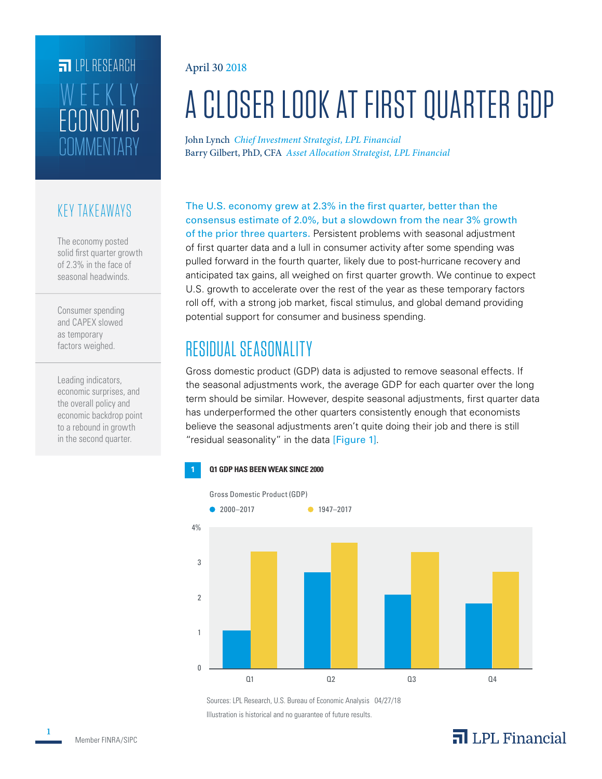# **FILLE** LPL RESEARCH **COMMENTARY** ECONOMIC WEEKLY

#### KEY TAKEAWAYS

The economy posted solid first quarter growth of 2.3% in the face of seasonal headwinds.

Consumer spending and CAPEX slowed as temporary factors weighed.

Leading indicators, economic surprises, and the overall policy and economic backdrop point to a rebound in growth in the second quarter.

#### April 30 2018

# A CLOSER LOOK AT FIRST QUARTER GDP

John Lynch *Chief Investment Strategist, LPL Financial* Barry Gilbert, PhD, CFA *Asset Allocation Strategist, LPL Financial*

The U.S. economy grew at 2.3% in the first quarter, better than the consensus estimate of 2.0%, but a slowdown from the near 3% growth of the prior three quarters. Persistent problems with seasonal adjustment of first quarter data and a lull in consumer activity after some spending was pulled forward in the fourth quarter, likely due to post-hurricane recovery and anticipated tax gains, all weighed on first quarter growth. We continue to expect U.S. growth to accelerate over the rest of the year as these temporary factors roll off, with a strong job market, fiscal stimulus, and global demand providing potential support for consumer and business spending.

# RESIDUAL SEASONALITY

Gross domestic product (GDP) data is adjusted to remove seasonal effects. If the seasonal adjustments work, the average GDP for each quarter over the long term should be similar. However, despite seasonal adjustments, first quarter data has underperformed the other quarters consistently enough that economists believe the seasonal adjustments aren't quite doing their job and there is still "residual seasonality" in the data [Figure 1].

#### **1 Q1 GDP HAS BEEN WEAK SINCE 2000**



Sources: LPL Research, U.S. Bureau of Economic Analysis 04/27/18 Illustration is historical and no guarantee of future results.

### $\overline{\mathbf{a}}$  LPL Financial

**1**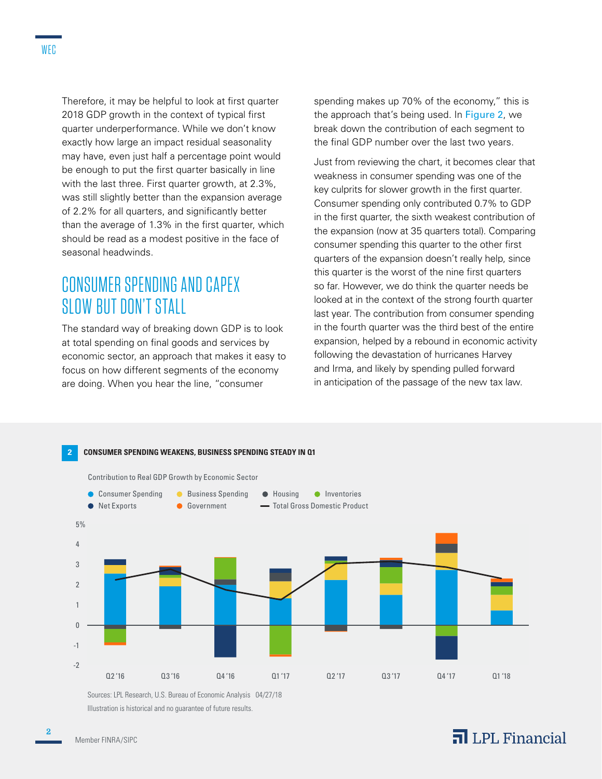Therefore, it may be helpful to look at first quarter 2018 GDP growth in the context of typical first quarter underperformance. While we don't know exactly how large an impact residual seasonality may have, even just half a percentage point would be enough to put the first quarter basically in line with the last three. First quarter growth, at 2.3%, was still slightly better than the expansion average of 2.2% for all quarters, and significantly better than the average of 1.3% in the first quarter, which should be read as a modest positive in the face of seasonal headwinds.

### CONSUMER SPENDING AND CAPEX SLOW BUT DON'T STALL

The standard way of breaking down GDP is to look at total spending on final goods and services by economic sector, an approach that makes it easy to focus on how different segments of the economy are doing. When you hear the line, "consumer

spending makes up 70% of the economy," this is the approach that's being used. In Figure 2, we break down the contribution of each segment to the final GDP number over the last two years.

Just from reviewing the chart, it becomes clear that weakness in consumer spending was one of the key culprits for slower growth in the first quarter. Consumer spending only contributed 0.7% to GDP in the first quarter, the sixth weakest contribution of the expansion (now at 35 quarters total). Comparing consumer spending this quarter to the other first quarters of the expansion doesn't really help, since this quarter is the worst of the nine first quarters so far. However, we do think the quarter needs be looked at in the context of the strong fourth quarter last year. The contribution from consumer spending in the fourth quarter was the third best of the entire expansion, helped by a rebound in economic activity following the devastation of hurricanes Harvey and Irma, and likely by spending pulled forward in anticipation of the passage of the new tax law.



Sources: LPL Research, U.S. Bureau of Economic Analysis 04/27/18 Illustration is historical and no guarantee of future results.

#### $\overline{\mathbf{a}}$  LPL Financial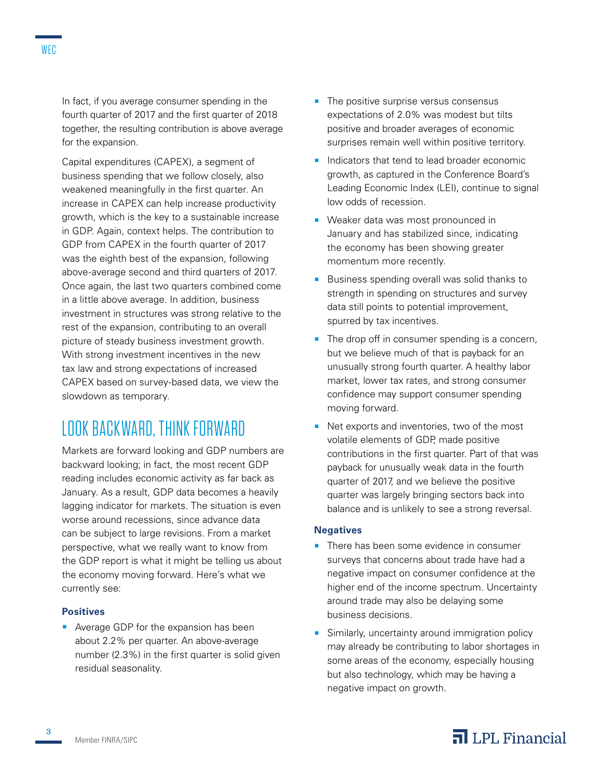In fact, if you average consumer spending in the fourth quarter of 2017 and the first quarter of 2018 together, the resulting contribution is above average for the expansion.

Capital expenditures (CAPEX), a segment of business spending that we follow closely, also weakened meaningfully in the first quarter. An increase in CAPEX can help increase productivity growth, which is the key to a sustainable increase in GDP. Again, context helps. The contribution to GDP from CAPEX in the fourth quarter of 2017 was the eighth best of the expansion, following above-average second and third quarters of 2017. Once again, the last two quarters combined come in a little above average. In addition, business investment in structures was strong relative to the rest of the expansion, contributing to an overall picture of steady business investment growth. With strong investment incentives in the new tax law and strong expectations of increased CAPEX based on survey-based data, we view the slowdown as temporary.

### LOOK BACKWARD, THINK FORWARD

Markets are forward looking and GDP numbers are backward looking; in fact, the most recent GDP reading includes economic activity as far back as January. As a result, GDP data becomes a heavily lagging indicator for markets. The situation is even worse around recessions, since advance data can be subject to large revisions. From a market perspective, what we really want to know from the GDP report is what it might be telling us about the economy moving forward. Here's what we currently see:

#### **Positives**

**Average GDP for the expansion has been** about 2.2% per quarter. An above-average number (2.3%) in the first quarter is solid given residual seasonality.

- **The positive surprise versus consensus** expectations of 2.0% was modest but tilts positive and broader averages of economic surprises remain well within positive territory.
- Indicators that tend to lead broader economic growth, as captured in the Conference Board's Leading Economic Index (LEI), continue to signal low odds of recession.
- **Weaker data was most pronounced in** January and has stabilized since, indicating the economy has been showing greater momentum more recently.
- Business spending overall was solid thanks to strength in spending on structures and survey data still points to potential improvement, spurred by tax incentives.
- $\blacksquare$  The drop off in consumer spending is a concern, but we believe much of that is payback for an unusually strong fourth quarter. A healthy labor market, lower tax rates, and strong consumer confidence may support consumer spending moving forward.
- Net exports and inventories, two of the most volatile elements of GDP, made positive contributions in the first quarter. Part of that was payback for unusually weak data in the fourth quarter of 2017, and we believe the positive quarter was largely bringing sectors back into balance and is unlikely to see a strong reversal.

#### **Negatives**

- **There has been some evidence in consumer** surveys that concerns about trade have had a negative impact on consumer confidence at the higher end of the income spectrum. Uncertainty around trade may also be delaying some business decisions.
- Similarly, uncertainty around immigration policy may already be contributing to labor shortages in some areas of the economy, especially housing but also technology, which may be having a negative impact on growth.

**3**

### $\overline{\mathbf{a}}$  LPL Financial